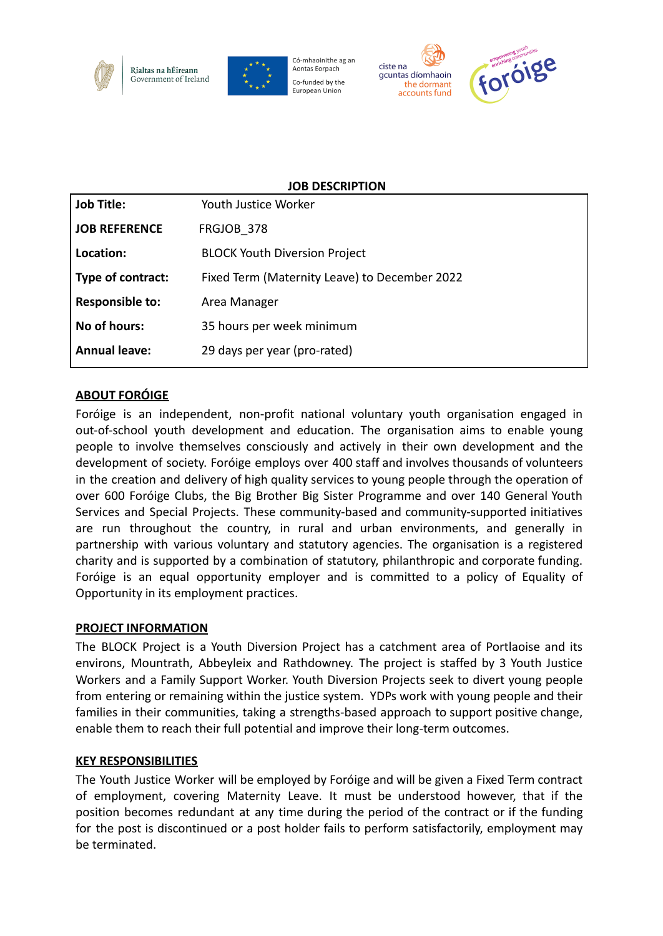

Rialtas na hÉireann Government of Ireland







# **JOB DESCRIPTION Job Title:** Youth Justice Worker **JOB REFERENCE** FRGJOB 378 **Location:** BLOCK Youth Diversion Project **Type of contract:** Fixed Term (Maternity Leave) to December 2022 **Responsible to:** Area Manager **No of hours:** 35 hours per week minimum **Annual leave:** 29 days per year (pro-rated)

### **ABOUT FORÓIGE**

Foróige is an independent, non-profit national voluntary youth organisation engaged in out-of-school youth development and education. The organisation aims to enable young people to involve themselves consciously and actively in their own development and the development of society. Foróige employs over 400 staff and involves thousands of volunteers in the creation and delivery of high quality services to young people through the operation of over 600 Foróige Clubs, the Big Brother Big Sister Programme and over 140 General Youth Services and Special Projects. These community-based and community-supported initiatives are run throughout the country, in rural and urban environments, and generally in partnership with various voluntary and statutory agencies. The organisation is a registered charity and is supported by a combination of statutory, philanthropic and corporate funding. Foróige is an equal opportunity employer and is committed to a policy of Equality of Opportunity in its employment practices.

#### **PROJECT INFORMATION**

The BLOCK Project is a Youth Diversion Project has a catchment area of Portlaoise and its environs, Mountrath, Abbeyleix and Rathdowney. The project is staffed by 3 Youth Justice Workers and a Family Support Worker. Youth Diversion Projects seek to divert young people from entering or remaining within the justice system. YDPs work with young people and their families in their communities, taking a strengths-based approach to support positive change, enable them to reach their full potential and improve their long-term outcomes.

#### **KEY RESPONSIBILITIES**

The Youth Justice Worker will be employed by Foróige and will be given a Fixed Term contract of employment, covering Maternity Leave. It must be understood however, that if the position becomes redundant at any time during the period of the contract or if the funding for the post is discontinued or a post holder fails to perform satisfactorily, employment may be terminated.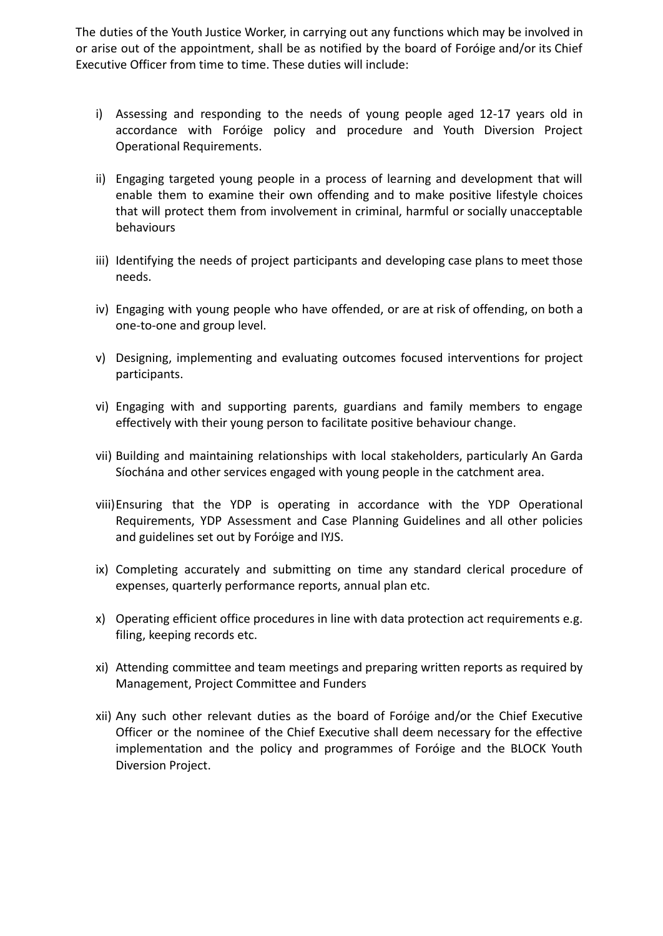The duties of the Youth Justice Worker, in carrying out any functions which may be involved in or arise out of the appointment, shall be as notified by the board of Foróige and/or its Chief Executive Officer from time to time. These duties will include:

- i) Assessing and responding to the needs of young people aged 12-17 years old in accordance with Foróige policy and procedure and Youth Diversion Project Operational Requirements.
- ii) Engaging targeted young people in a process of learning and development that will enable them to examine their own offending and to make positive lifestyle choices that will protect them from involvement in criminal, harmful or socially unacceptable behaviours
- iii) Identifying the needs of project participants and developing case plans to meet those needs.
- iv) Engaging with young people who have offended, or are at risk of offending, on both a one-to-one and group level.
- v) Designing, implementing and evaluating outcomes focused interventions for project participants.
- vi) Engaging with and supporting parents, guardians and family members to engage effectively with their young person to facilitate positive behaviour change.
- vii) Building and maintaining relationships with local stakeholders, particularly An Garda Síochána and other services engaged with young people in the catchment area.
- viii)Ensuring that the YDP is operating in accordance with the YDP Operational Requirements, YDP Assessment and Case Planning Guidelines and all other policies and guidelines set out by Foróige and IYJS.
- ix) Completing accurately and submitting on time any standard clerical procedure of expenses, quarterly performance reports, annual plan etc.
- x) Operating efficient office procedures in line with data protection act requirements e.g. filing, keeping records etc.
- xi) Attending committee and team meetings and preparing written reports as required by Management, Project Committee and Funders
- xii) Any such other relevant duties as the board of Foróige and/or the Chief Executive Officer or the nominee of the Chief Executive shall deem necessary for the effective implementation and the policy and programmes of Foróige and the BLOCK Youth Diversion Project.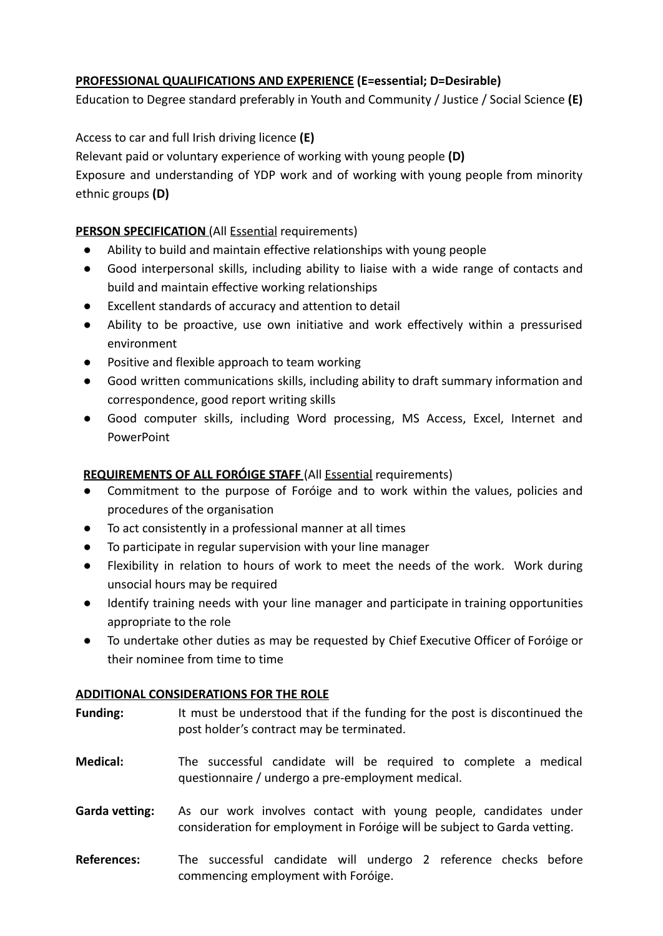## **PROFESSIONAL QUALIFICATIONS AND EXPERIENCE (E=essential; D=Desirable)**

Education to Degree standard preferably in Youth and Community / Justice / Social Science **(E)**

Access to car and full Irish driving licence **(E)**

Relevant paid or voluntary experience of working with young people **(D)**

Exposure and understanding of YDP work and of working with young people from minority ethnic groups **(D)**

## **PERSON SPECIFICATION** (All Essential requirements)

- Ability to build and maintain effective relationships with young people
- Good interpersonal skills, including ability to liaise with a wide range of contacts and build and maintain effective working relationships
- Excellent standards of accuracy and attention to detail
- Ability to be proactive, use own initiative and work effectively within a pressurised environment
- Positive and flexible approach to team working
- Good written communications skills, including ability to draft summary information and correspondence, good report writing skills
- Good computer skills, including Word processing, MS Access, Excel, Internet and PowerPoint

## **REQUIREMENTS OF ALL FORÓIGE STAFF** (All Essential requirements)

- Commitment to the purpose of Foróige and to work within the values, policies and procedures of the organisation
- To act consistently in a professional manner at all times
- To participate in regular supervision with your line manager
- Flexibility in relation to hours of work to meet the needs of the work. Work during unsocial hours may be required
- Identify training needs with your line manager and participate in training opportunities appropriate to the role
- To undertake other duties as may be requested by Chief Executive Officer of Foróige or their nominee from time to time

#### **ADDITIONAL CONSIDERATIONS FOR THE ROLE**

**Funding:** It must be understood that if the funding for the post is discontinued the post holder's contract may be terminated.

- **Medical:** The successful candidate will be required to complete a medical questionnaire / undergo a pre-employment medical.
- **Garda vetting:** As our work involves contact with young people, candidates under consideration for employment in Foróige will be subject to Garda vetting.
- **References:** The successful candidate will undergo 2 reference checks before commencing employment with Foróige.